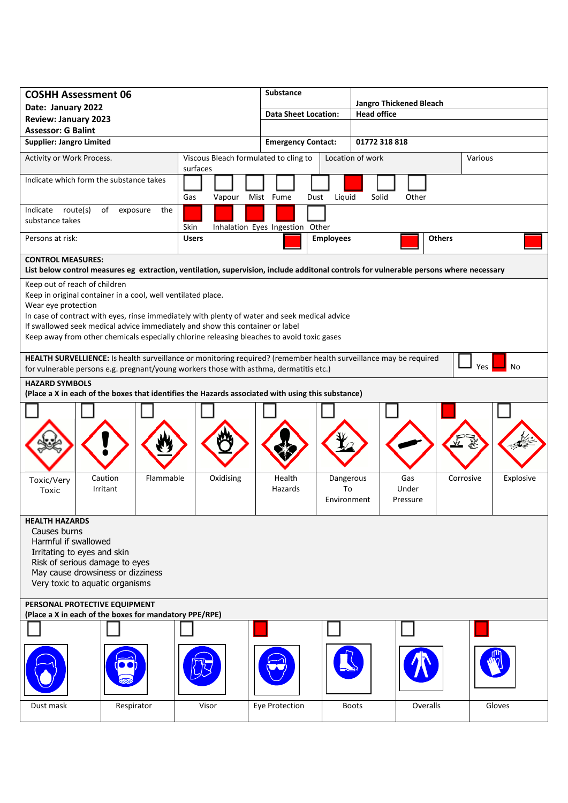| <b>COSHH Assessment 06</b>                                                                                                                                                                                                      |                                                              |  |              |                  |                | <b>Substance</b>                |                  |                 |                                                      |              |           |  |           |  |
|---------------------------------------------------------------------------------------------------------------------------------------------------------------------------------------------------------------------------------|--------------------------------------------------------------|--|--------------|------------------|----------------|---------------------------------|------------------|-----------------|------------------------------------------------------|--------------|-----------|--|-----------|--|
| Date: January 2022                                                                                                                                                                                                              |                                                              |  |              |                  |                | <b>Data Sheet Location:</b>     |                  |                 | <b>Jangro Thickened Bleach</b><br><b>Head office</b> |              |           |  |           |  |
| <b>Review: January 2023</b>                                                                                                                                                                                                     |                                                              |  |              |                  |                |                                 |                  |                 |                                                      |              |           |  |           |  |
| <b>Assessor: G Balint</b>                                                                                                                                                                                                       |                                                              |  |              |                  |                |                                 |                  |                 |                                                      |              |           |  |           |  |
| <b>Supplier: Jangro Limited</b>                                                                                                                                                                                                 |                                                              |  |              |                  |                | <b>Emergency Contact:</b>       |                  |                 | 01772 318 818                                        |              |           |  |           |  |
| Activity or Work Process.                                                                                                                                                                                                       | Viscous Bleach formulated to cling to<br>surfaces            |  |              |                  |                |                                 | Location of work |                 |                                                      | Various      |           |  |           |  |
| Indicate which form the substance takes                                                                                                                                                                                         |                                                              |  |              |                  |                |                                 |                  |                 |                                                      |              |           |  |           |  |
|                                                                                                                                                                                                                                 |                                                              |  | Gas          | Vapour Mist Fume |                |                                 | Dust             | Liquid          | Solid                                                | Other        |           |  |           |  |
| Indicate route(s)<br>of<br>the<br>exposure                                                                                                                                                                                      |                                                              |  |              |                  |                |                                 |                  |                 |                                                      |              |           |  |           |  |
| substance takes                                                                                                                                                                                                                 |                                                              |  | Skin         |                  |                | Inhalation Eyes Ingestion Other |                  |                 |                                                      |              |           |  |           |  |
| Persons at risk:                                                                                                                                                                                                                |                                                              |  | <b>Users</b> |                  |                | <b>Employees</b>                |                  |                 | <b>Others</b>                                        |              |           |  |           |  |
| <b>CONTROL MEASURES:</b>                                                                                                                                                                                                        |                                                              |  |              |                  |                |                                 |                  |                 |                                                      |              |           |  |           |  |
| List below control measures eg extraction, ventilation, supervision, include additonal controls for vulnerable persons where necessary                                                                                          |                                                              |  |              |                  |                |                                 |                  |                 |                                                      |              |           |  |           |  |
| Keep out of reach of children                                                                                                                                                                                                   |                                                              |  |              |                  |                |                                 |                  |                 |                                                      |              |           |  |           |  |
|                                                                                                                                                                                                                                 | Keep in original container in a cool, well ventilated place. |  |              |                  |                |                                 |                  |                 |                                                      |              |           |  |           |  |
|                                                                                                                                                                                                                                 | Wear eye protection                                          |  |              |                  |                |                                 |                  |                 |                                                      |              |           |  |           |  |
| In case of contract with eyes, rinse immediately with plenty of water and seek medical advice                                                                                                                                   |                                                              |  |              |                  |                |                                 |                  |                 |                                                      |              |           |  |           |  |
| If swallowed seek medical advice immediately and show this container or label                                                                                                                                                   |                                                              |  |              |                  |                |                                 |                  |                 |                                                      |              |           |  |           |  |
| Keep away from other chemicals especially chlorine releasing bleaches to avoid toxic gases                                                                                                                                      |                                                              |  |              |                  |                |                                 |                  |                 |                                                      |              |           |  |           |  |
| HEALTH SURVELLIENCE: Is health surveillance or monitoring required? (remember health surveillance may be required<br><b>Yes</b><br>No<br>for vulnerable persons e.g. pregnant/young workers those with asthma, dermatitis etc.) |                                                              |  |              |                  |                |                                 |                  |                 |                                                      |              |           |  |           |  |
|                                                                                                                                                                                                                                 |                                                              |  |              |                  |                |                                 |                  |                 |                                                      |              |           |  |           |  |
| <b>HAZARD SYMBOLS</b><br>(Place a X in each of the boxes that identifies the Hazards associated with using this substance)                                                                                                      |                                                              |  |              |                  |                |                                 |                  |                 |                                                      |              |           |  |           |  |
|                                                                                                                                                                                                                                 |                                                              |  |              |                  |                |                                 |                  |                 |                                                      |              |           |  |           |  |
|                                                                                                                                                                                                                                 |                                                              |  |              |                  |                |                                 |                  |                 |                                                      |              |           |  |           |  |
|                                                                                                                                                                                                                                 |                                                              |  |              |                  |                |                                 |                  |                 |                                                      |              |           |  |           |  |
|                                                                                                                                                                                                                                 |                                                              |  |              |                  |                |                                 |                  |                 |                                                      |              |           |  |           |  |
|                                                                                                                                                                                                                                 |                                                              |  |              |                  |                |                                 |                  |                 |                                                      |              |           |  |           |  |
|                                                                                                                                                                                                                                 | Flammable<br>Caution                                         |  | Oxidising    |                  |                |                                 |                  |                 |                                                      |              | Corrosive |  |           |  |
| Toxic/Very<br>Toxic                                                                                                                                                                                                             | Irritant                                                     |  |              |                  |                | Health<br>Hazards               |                  | Dangerous<br>To |                                                      | Gas<br>Under |           |  | Explosive |  |
|                                                                                                                                                                                                                                 |                                                              |  |              |                  |                |                                 |                  | Environment     |                                                      | Pressure     |           |  |           |  |
|                                                                                                                                                                                                                                 |                                                              |  |              |                  |                |                                 |                  |                 |                                                      |              |           |  |           |  |
| <b>HEALTH HAZARDS</b>                                                                                                                                                                                                           |                                                              |  |              |                  |                |                                 |                  |                 |                                                      |              |           |  |           |  |
| Causes burns                                                                                                                                                                                                                    |                                                              |  |              |                  |                |                                 |                  |                 |                                                      |              |           |  |           |  |
| Harmful if swallowed                                                                                                                                                                                                            |                                                              |  |              |                  |                |                                 |                  |                 |                                                      |              |           |  |           |  |
| Irritating to eyes and skin<br>Risk of serious damage to eyes                                                                                                                                                                   |                                                              |  |              |                  |                |                                 |                  |                 |                                                      |              |           |  |           |  |
| May cause drowsiness or dizziness                                                                                                                                                                                               |                                                              |  |              |                  |                |                                 |                  |                 |                                                      |              |           |  |           |  |
| Very toxic to aquatic organisms                                                                                                                                                                                                 |                                                              |  |              |                  |                |                                 |                  |                 |                                                      |              |           |  |           |  |
|                                                                                                                                                                                                                                 |                                                              |  |              |                  |                |                                 |                  |                 |                                                      |              |           |  |           |  |
| PERSONAL PROTECTIVE EQUIPMENT<br>(Place a X in each of the boxes for mandatory PPE/RPE)                                                                                                                                         |                                                              |  |              |                  |                |                                 |                  |                 |                                                      |              |           |  |           |  |
|                                                                                                                                                                                                                                 |                                                              |  |              |                  |                |                                 |                  |                 |                                                      |              |           |  |           |  |
|                                                                                                                                                                                                                                 |                                                              |  |              |                  |                |                                 |                  |                 |                                                      |              |           |  |           |  |
|                                                                                                                                                                                                                                 |                                                              |  |              |                  |                |                                 |                  |                 |                                                      |              |           |  |           |  |
|                                                                                                                                                                                                                                 |                                                              |  |              |                  |                |                                 |                  |                 |                                                      |              |           |  |           |  |
|                                                                                                                                                                                                                                 |                                                              |  |              |                  |                |                                 |                  |                 |                                                      |              |           |  |           |  |
|                                                                                                                                                                                                                                 |                                                              |  |              |                  |                |                                 |                  |                 |                                                      |              |           |  |           |  |
| Dust mask<br>Respirator                                                                                                                                                                                                         |                                                              |  | Visor        |                  | Eye Protection |                                 |                  | <b>Boots</b>    | Overalls                                             |              | Gloves    |  |           |  |